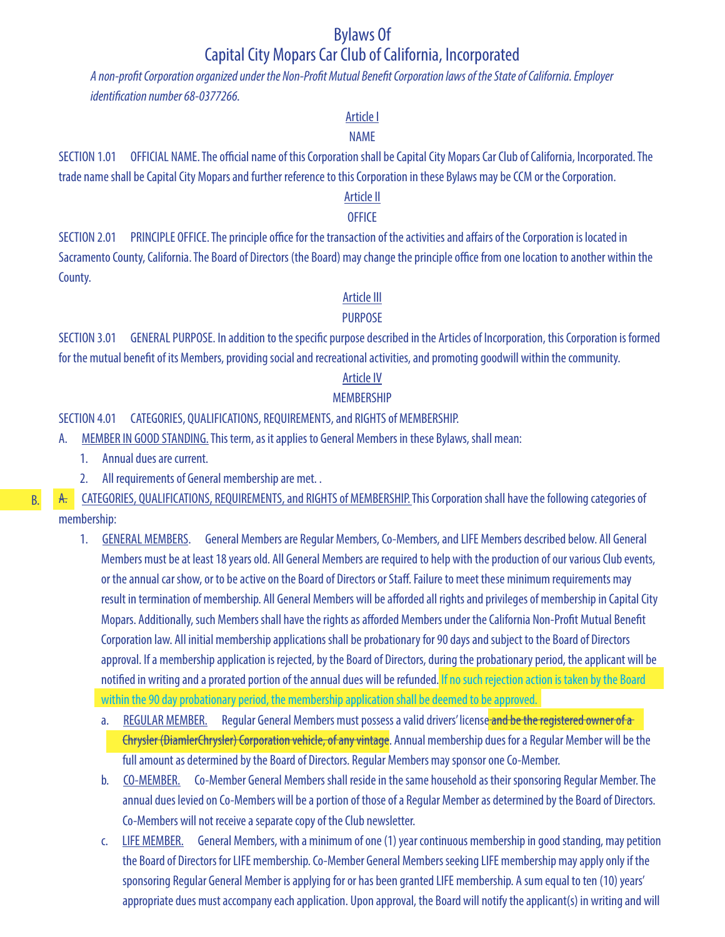# Bylaws Of Capital City Mopars Car Club of California, Incorporated

*A non-profit Corporation organized under the Non-Profit Mutual Benefit Corporation laws of the State of California. Employer identification number 68-0377266.*

## Article I

## NAME

SECTION 1.01 OFFICIAL NAME. The official name of this Corporation shall be Capital City Mopars Car Club of California, Incorporated. The trade name shall be Capital City Mopars and further reference to this Corporation in these Bylaws may be CCM or the Corporation.

## Article II

## **OFFICE**

SECTION 2.01 PRINCIPLE OFFICE. The principle office for the transaction of the activities and affairs of the Corporation is located in Sacramento County, California. The Board of Directors (the Board) may change the principle office from one location to another within the County.

## Article III

## PURPOSE

SECTION 3.01 GENERAL PURPOSE. In addition to the specific purpose described in the Articles of Incorporation, this Corporation is formed for the mutual benefit of its Members, providing social and recreational activities, and promoting goodwill within the community.

## Article IV

## MEMBERSHIP

## SECTION 4.01 CATEGORIES, QUALIFICATIONS, REQUIREMENTS, and RIGHTS of MEMBERSHIP.

- A. MEMBER IN GOOD STANDING. This term, as it applies to General Members in these Bylaws, shall mean:
	- 1. Annual dues are current.
	- 2. All requirements of General membership are met. .
- A. CATEGORIES, QUALIFICATIONS, REQUIREMENTS, and RIGHTS of MEMBERSHIP. This Corporation shall have the following categories of membership:
	- 1. GENERAL MEMBERS. General Members are Regular Members, Co-Members, and LIFE Members described below. All General Members must be at least 18 years old. All General Members are required to help with the production of our various Club events, or the annual car show, or to be active on the Board of Directors or Staff. Failure to meet these minimum requirements may result in termination of membership. All General Members will be afforded all rights and privileges of membership in Capital City Mopars. Additionally, such Members shall have the rights as afforded Members under the California Non-Profit Mutual Benefit Corporation law. All initial membership applications shall be probationary for 90 days and subject to the Board of Directors approval. If a membership application is rejected, by the Board of Directors, during the probationary period, the applicant will be notified in writing and a prorated portion of the annual dues will be refunded. If no such rejection action is taken by the Board within the 90 day probationary period, the membership application shall be deemed to be approved.
		- a. REGULAR MEMBER. Regular General Members must possess a valid drivers' license and be the registered owner of a Chrysler (DiamlerChrysler) Corporation vehicle, of any vintage. Annual membership dues for a Regular Member will be the full amount as determined by the Board of Directors. Regular Members may sponsor one Co-Member.
		- b. CO-MEMBER. Co-Member General Members shall reside in the same household as their sponsoring Regular Member. The annual dues levied on Co-Members will be a portion of those of a Regular Member as determined by the Board of Directors. Co-Members will not receive a separate copy of the Club newsletter.
		- c. LIFE MEMBER. General Members, with a minimum of one (1) year continuous membership in good standing, may petition the Board of Directors for LIFE membership. Co-Member General Members seeking LIFE membership may apply only if the sponsoring Regular General Member is applying for or has been granted LIFE membership. A sum equal to ten (10) years' appropriate dues must accompany each application. Upon approval, the Board will notify the applicant(s) in writing and will

B.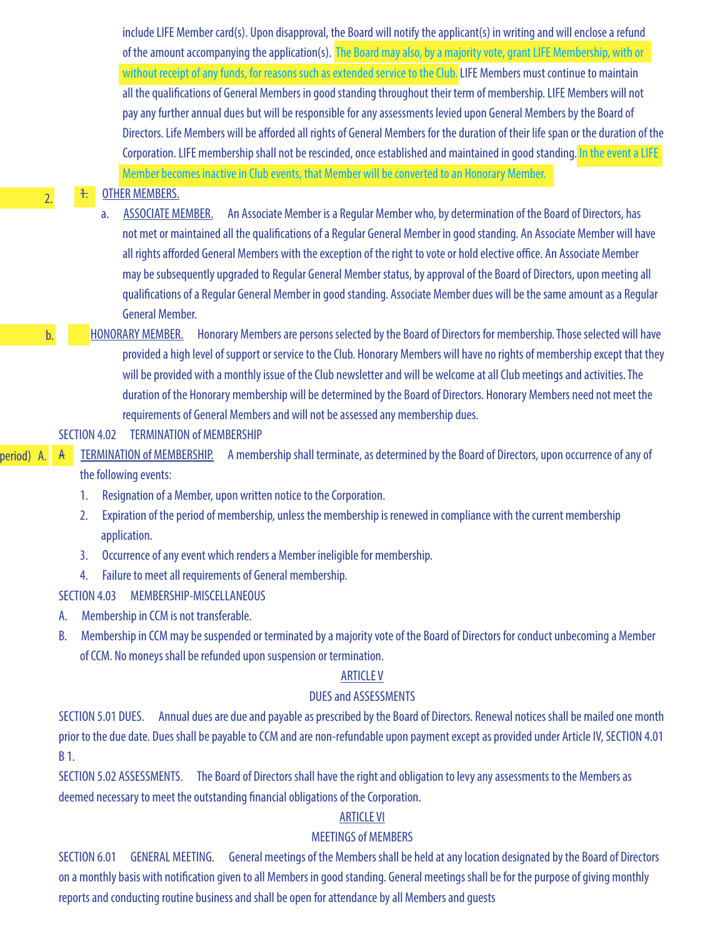include LIFE Member card(s). Upon disapproval, the Board will notify the applicant(s) in writing and will enclose a refund of the amount accompanying the application(s). The Board may also, by a majority vote, grant LIFE Membership, with or without receipt of any funds, for reasons such as extended service to the Club. LIFE Members must continue to maintain all the qualifications of General Members in good standing throughout their term of membership. LIFE Members will not pay any further annual dues but will be responsible for any assessments levied upon General Members by the Board of Directors. Life Members will be afforded all rights of General Members for the duration of their life span or the duration of the Corporation. LIFE membership shall not be rescinded, once established and maintained in good standing. In the event a LIFE Member becomes inactive in Club events, that Member will be converted to an Honorary Member.

## 1. OTHER MEMBERS.

a. ASSOCIATE MEMBER. An Associate Member is a Regular Member who, by determination of the Board of Directors, has not met or maintained all the qualifications of a Regular General Member in good standing. An Associate Member will have all rights afforded General Members with the exception of the right to vote or hold elective office. An Associate Member may be subsequently upgraded to Regular General Member status, by approval of the Board of Directors, upon meeting all qualifications of a Regular General Member in good standing. Associate Member dues will be the same amount as a Regular General Member.

HONORARY MEMBER. Honorary Members are persons selected by the Board of Directors for membership. Those selected will have provided a high level of support or service to the Club. Honorary Members will have no rights of membership except that they will be provided with a monthly issue of the Club newsletter and will be welcome at all Club meetings and activities. The duration of the Honorary membership will be determined by the Board of Directors. Honorary Members need not meet the requirements of General Members and will not be assessed any membership dues.

## SECTION 4.02 TERMINATION of MEMBERSHIP

#### (period) A.

2.

b.

A TERMINATION of MEMBERSHIP. A membership shall terminate, as determined by the Board of Directors, upon occurrence of any of

## the following events:

- 1. Resignation of a Member, upon written notice to the Corporation.
- 2. Expiration of the period of membership, unless the membership is renewed in compliance with the current membership application.
- 3. Occurrence of any event which renders a Member ineligible for membership.
- 4. Failure to meet all requirements of General membership.

## SECTION 4.03 MEMBERSHIP-MISCELLANEOUS

- A. Membership in CCM is not transferable.
- B. Membership in CCM may be suspended or terminated by a majority vote of the Board of Directors for conduct unbecoming a Member of CCM. No moneys shall be refunded upon suspension or termination.

#### ARTICLE V

## DUES and ASSESSMENTS

SECTION 5.01 DUES. Annual dues are due and payable as prescribed by the Board of Directors. Renewal notices shall be mailed one month prior to the due date. Dues shall be payable to CCM and are non-refundable upon payment except as provided under Article IV, SECTION 4.01 B 1.

SECTION 5.02 ASSESSMENTS. The Board of Directors shall have the right and obligation to levy any assessments to the Members as deemed necessary to meet the outstanding financial obligations of the Corporation.

#### ARTICLE VI

#### MEETINGS of MEMBERS

SECTION 6.01 GENERAL MEETING. General meetings of the Members shall be held at any location designated by the Board of Directors on a monthly basis with notification given to all Members in good standing. General meetings shall be for the purpose of giving monthly reports and conducting routine business and shall be open for attendance by all Members and guests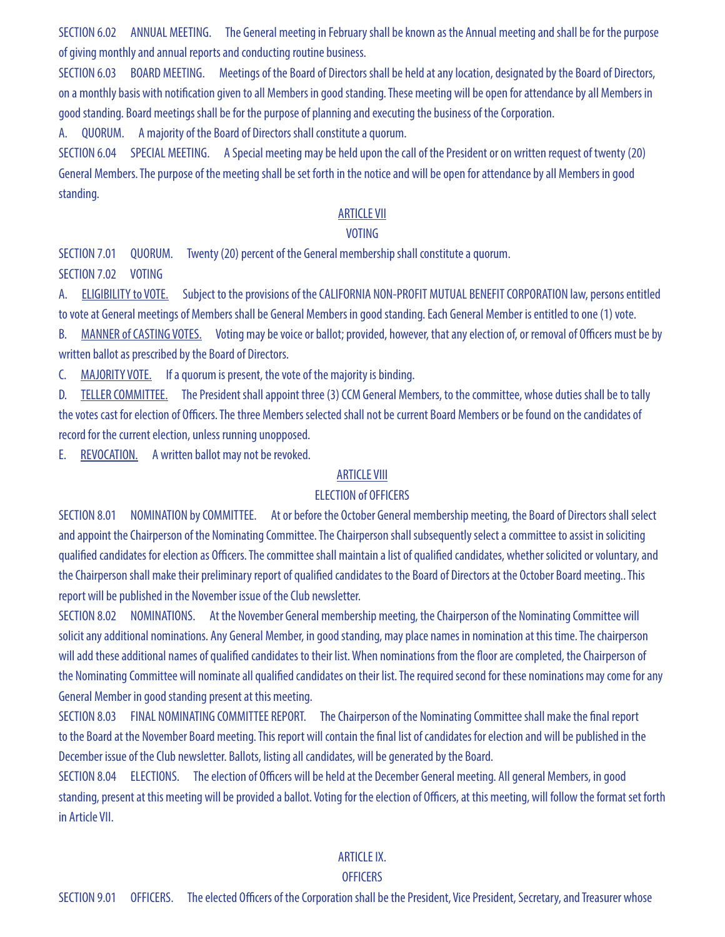SECTION 6.02 ANNUAL MEETING. The General meeting in February shall be known as the Annual meeting and shall be for the purpose of giving monthly and annual reports and conducting routine business.

SECTION 6.03 BOARD MEETING. Meetings of the Board of Directors shall be held at any location, designated by the Board of Directors, on a monthly basis with notification given to all Members in good standing. These meeting will be open for attendance by all Members in good standing. Board meetings shall be for the purpose of planning and executing the business of the Corporation.

A. QUORUM. A majority of the Board of Directors shall constitute a quorum.

SECTION 6.04 SPECIAL MEETING. A Special meeting may be held upon the call of the President or on written request of twenty (20) General Members. The purpose of the meeting shall be set forth in the notice and will be open for attendance by all Members in good standing.

## ARTICLE VII

## VOTING

SECTION 7.01 QUORUM. Twenty (20) percent of the General membership shall constitute a quorum. SECTION 7.02 VOTING

A. ELIGIBILITY to VOTE. Subject to the provisions of the CALIFORNIA NON-PROFIT MUTUAL BENEFIT CORPORATION law, persons entitled to vote at General meetings of Members shall be General Members in good standing. Each General Member is entitled to one (1) vote.

B. MANNER of CASTING VOTES. Voting may be voice or ballot; provided, however, that any election of, or removal of Officers must be by written ballot as prescribed by the Board of Directors.

C. MAJORITY VOTE. If a quorum is present, the vote of the majority is binding.

D. TELLER COMMITTEE. The President shall appoint three (3) CCM General Members, to the committee, whose duties shall be to tally the votes cast for election of Officers. The three Members selected shall not be current Board Members or be found on the candidates of record for the current election, unless running unopposed.

E. REVOCATION. A written ballot may not be revoked.

### ARTICLE VIII

#### ELECTION of OFFICERS

SECTION 8.01 NOMINATION by COMMITTEE. At or before the October General membership meeting, the Board of Directors shall select and appoint the Chairperson of the Nominating Committee. The Chairperson shall subsequently select a committee to assist in soliciting qualified candidates for election as Officers. The committee shall maintain a list of qualified candidates, whether solicited or voluntary, and the Chairperson shall make their preliminary report of qualified candidates to the Board of Directors at the October Board meeting.. This report will be published in the November issue of the Club newsletter.

SECTION 8.02 NOMINATIONS. At the November General membership meeting, the Chairperson of the Nominating Committee will solicit any additional nominations. Any General Member, in good standing, may place names in nomination at this time. The chairperson will add these additional names of qualified candidates to their list. When nominations from the floor are completed, the Chairperson of the Nominating Committee will nominate all qualified candidates on their list. The required second for these nominations may come for any General Member in good standing present at this meeting.

SECTION 8.03 FINAL NOMINATING COMMITTEE REPORT. The Chairperson of the Nominating Committee shall make the final report to the Board at the November Board meeting. This report will contain the final list of candidates for election and will be published in the December issue of the Club newsletter. Ballots, listing all candidates, will be generated by the Board.

SECTION 8.04 ELECTIONS. The election of Officers will be held at the December General meeting. All general Members, in good standing, present at this meeting will be provided a ballot. Voting for the election of Officers, at this meeting, will follow the format set forth in Article VII.

#### ARTICLE IX.

#### **OFFICERS**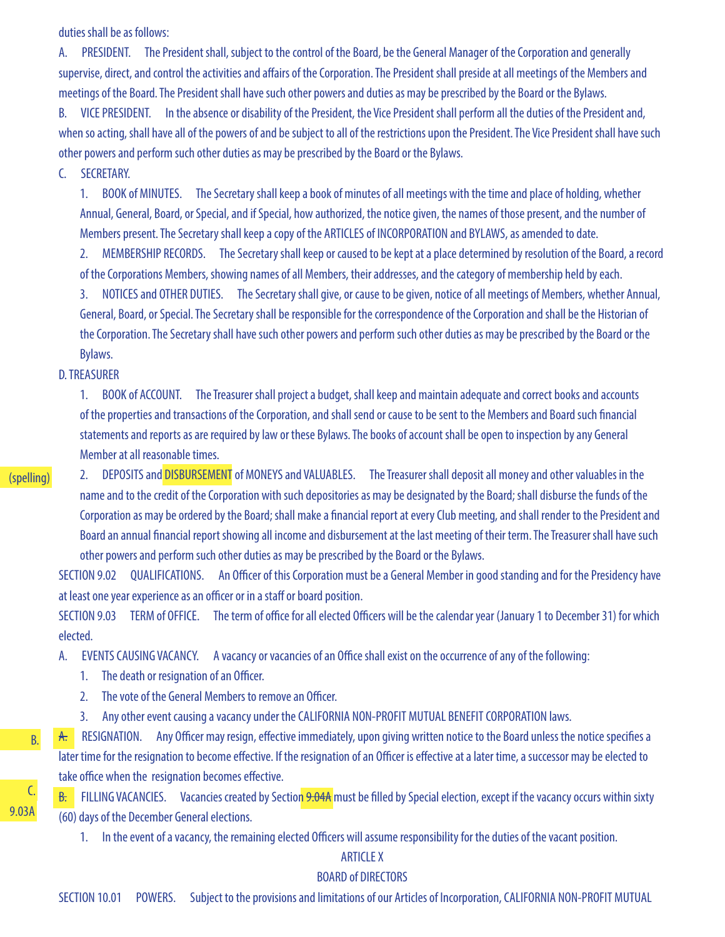duties shall be as follows:

A. PRESIDENT. The President shall, subject to the control of the Board, be the General Manager of the Corporation and generally supervise, direct, and control the activities and affairs of the Corporation. The President shall preside at all meetings of the Members and meetings of the Board. The President shall have such other powers and duties as may be prescribed by the Board or the Bylaws.

B. VICE PRESIDENT. In the absence or disability of the President, the Vice President shall perform all the duties of the President and, when so acting, shall have all of the powers of and be subject to all of the restrictions upon the President. The Vice President shall have such other powers and perform such other duties as may be prescribed by the Board or the Bylaws.

C. SECRETARY.

1. BOOK of MINUTES. The Secretary shall keep a book of minutes of all meetings with the time and place of holding, whether Annual, General, Board, or Special, and if Special, how authorized, the notice given, the names of those present, and the number of Members present. The Secretary shall keep a copy of the ARTICLES of INCORPORATION and BYLAWS, as amended to date.

2. MEMBERSHIP RECORDS. The Secretary shall keep or caused to be kept at a place determined by resolution of the Board, a record of the Corporations Members, showing names of all Members, their addresses, and the category of membership held by each.

3. NOTICES and OTHER DUTIES. The Secretary shall give, or cause to be given, notice of all meetings of Members, whether Annual, General, Board, or Special. The Secretary shall be responsible for the correspondence of the Corporation and shall be the Historian of the Corporation. The Secretary shall have such other powers and perform such other duties as may be prescribed by the Board or the Bylaws.

D. TREASURER

1. BOOK of ACCOUNT. The Treasurer shall project a budget, shall keep and maintain adequate and correct books and accounts of the properties and transactions of the Corporation, and shall send or cause to be sent to the Members and Board such financial statements and reports as are required by law or these Bylaws. The books of account shall be open to inspection by any General Member at all reasonable times.

#### (spelling)

2. DEPOSITS and DISBURSEMENT of MONEYS and VALUABLES. The Treasurer shall deposit all money and other valuables in the name and to the credit of the Corporation with such depositories as may be designated by the Board; shall disburse the funds of the Corporation as may be ordered by the Board; shall make a financial report at every Club meeting, and shall render to the President and Board an annual financial report showing all income and disbursement at the last meeting of their term. The Treasurer shall have such other powers and perform such other duties as may be prescribed by the Board or the Bylaws.

SECTION 9.02 QUALIFICATIONS. An Officer of this Corporation must be a General Member in good standing and for the Presidency have at least one year experience as an officer or in a staff or board position.

SECTION 9.03 TERM of OFFICE. The term of office for all elected Officers will be the calendar year (January 1 to December 31) for which elected.

A. EVENTS CAUSING VACANCY. A vacancy or vacancies of an Office shall exist on the occurrence of any of the following:

- 1. The death or resignation of an Officer.
- 2. The vote of the General Members to remove an Officer.
- 3. Any other event causing a vacancy under the CALIFORNIA NON-PROFIT MUTUAL BENEFIT CORPORATION laws.

A. RESIGNATION. Any Officer may resign, effective immediately, upon giving written notice to the Board unless the notice specifies a later time for the resignation to become effective. If the resignation of an Officer is effective at a later time, a successor may be elected to take office when the resignation becomes effective.

B. FILLING VACANCIES. Vacancies created by Section 9.04A must be filled by Special election, except if the vacancy occurs within sixty (60) days of the December General elections.

1. In the event of a vacancy, the remaining elected Officers will assume responsibility for the duties of the vacant position.

#### ARTICLE X

#### BOARD of DIRECTORS

SECTION 10.01 POWERS. Subject to the provisions and limitations of our Articles of Incorporation, CALIFORNIA NON-PROFIT MUTUAL

9.03A

B.

C.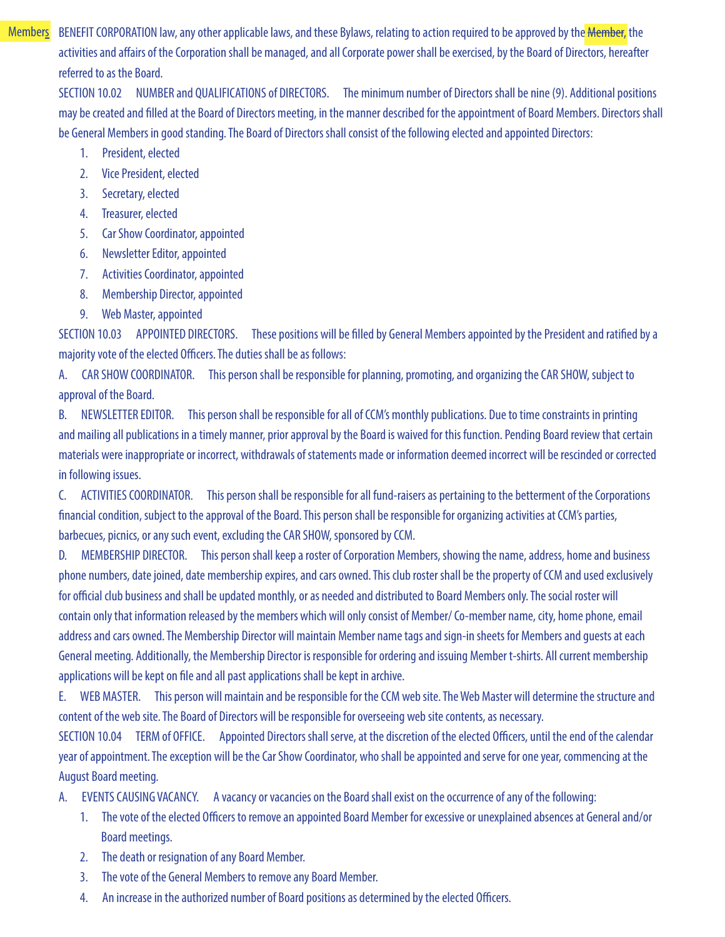BENEFIT CORPORATION law, any other applicable laws, and these Bylaws, relating to action required to be approved by the **Member**, the activities and affairs of the Corporation shall be managed, and all Corporate power shall be exercised, by the Board of Directors, hereafter referred to as the Board. **Members** 

SECTION 10.02 NUMBER and QUALIFICATIONS of DIRECTORS. The minimum number of Directors shall be nine (9). Additional positions may be created and filled at the Board of Directors meeting, in the manner described for the appointment of Board Members. Directors shall be General Members in good standing. The Board of Directors shall consist of the following elected and appointed Directors:

- 1. President, elected
- 2. Vice President, elected
- 3. Secretary, elected
- 4. Treasurer, elected
- 5. Car Show Coordinator, appointed
- 6. Newsletter Editor, appointed
- 7. Activities Coordinator, appointed
- 8. Membership Director, appointed
- 9. Web Master, appointed

SECTION 10.03 APPOINTED DIRECTORS. These positions will be filled by General Members appointed by the President and ratified by a majority vote of the elected Officers. The duties shall be as follows:

A. CAR SHOW COORDINATOR. This person shall be responsible for planning, promoting, and organizing the CAR SHOW, subject to approval of the Board.

B. NEWSLETTER EDITOR. This person shall be responsible for all of CCM's monthly publications. Due to time constraints in printing and mailing all publications in a timely manner, prior approval by the Board is waived for this function. Pending Board review that certain materials were inappropriate or incorrect, withdrawals of statements made or information deemed incorrect will be rescinded or corrected in following issues.

C. ACTIVITIES COORDINATOR. This person shall be responsible for all fund-raisers as pertaining to the betterment of the Corporations financial condition, subject to the approval of the Board. This person shall be responsible for organizing activities at CCM's parties, barbecues, picnics, or any such event, excluding the CAR SHOW, sponsored by CCM.

D. MEMBERSHIP DIRECTOR. This person shall keep a roster of Corporation Members, showing the name, address, home and business phone numbers, date joined, date membership expires, and cars owned. This club roster shall be the property of CCM and used exclusively for official club business and shall be updated monthly, or as needed and distributed to Board Members only. The social roster will contain only that information released by the members which will only consist of Member/ Co-member name, city, home phone, email address and cars owned. The Membership Director will maintain Member name tags and sign-in sheets for Members and guests at each General meeting. Additionally, the Membership Director is responsible for ordering and issuing Member t-shirts. All current membership applications will be kept on file and all past applications shall be kept in archive.

E. WEB MASTER. This person will maintain and be responsible for the CCM web site. The Web Master will determine the structure and content of the web site. The Board of Directors will be responsible for overseeing web site contents, as necessary.

SECTION 10.04 TERM of OFFICE. Appointed Directors shall serve, at the discretion of the elected Officers, until the end of the calendar year of appointment. The exception will be the Car Show Coordinator, who shall be appointed and serve for one year, commencing at the August Board meeting.

A. EVENTS CAUSING VACANCY. A vacancy or vacancies on the Board shall exist on the occurrence of any of the following:

- 1. The vote of the elected Officers to remove an appointed Board Member for excessive or unexplained absences at General and/or Board meetings.
- 2. The death or resignation of any Board Member.
- 3. The vote of the General Members to remove any Board Member.
- 4. An increase in the authorized number of Board positions as determined by the elected Officers.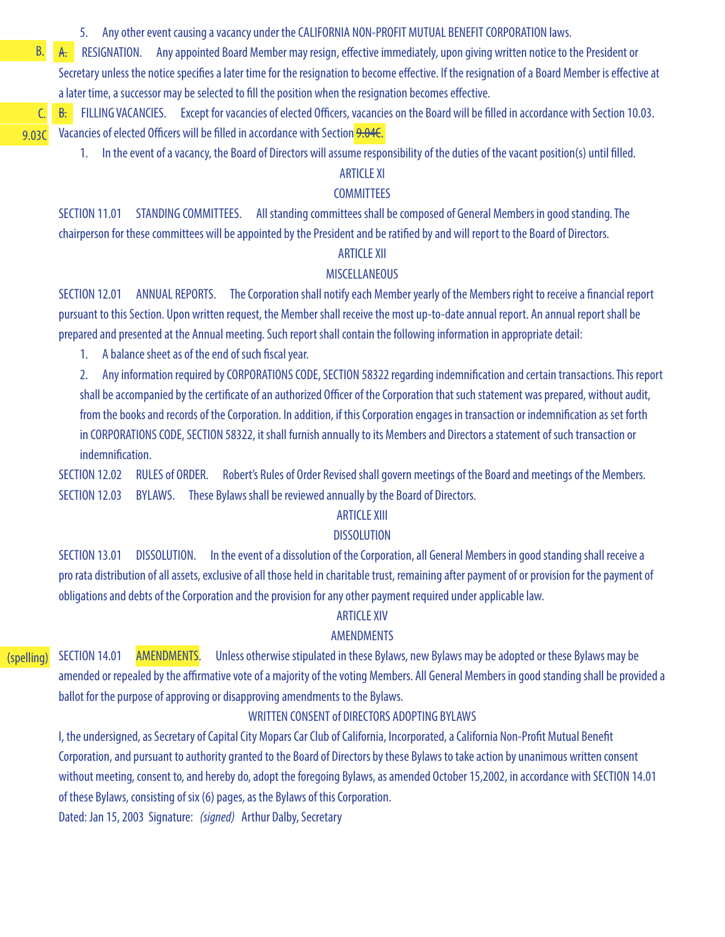5. Any other event causing a vacancy under the CALIFORNIA NON-PROFIT MUTUAL BENEFIT CORPORATION laws.

A. RESIGNATION. Any appointed Board Member may resign, effective immediately, upon giving written notice to the President or Secretary unless the notice specifies a later time for the resignation to become effective. If the resignation of a Board Member is effective at a later time, a successor may be selected to fill the position when the resignation becomes effective.

B. FILLING VACANCIES. Except for vacancies of elected Officers, vacancies on the Board will be filled in accordance with Section 10.03. Vacancies of elected Officers will be filled in accordance with Section 9.04C.

1. In the event of a vacancy, the Board of Directors will assume responsibility of the duties of the vacant position(s) until filled.

# ARTICLE XI

## **COMMITTEES**

SECTION 11.01 STANDING COMMITTEES. All standing committees shall be composed of General Members in good standing. The chairperson for these committees will be appointed by the President and be ratified by and will report to the Board of Directors.

## ARTICLE XII

#### MISCELLANEOUS

SECTION 12.01 ANNUAL REPORTS. The Corporation shall notify each Member yearly of the Members right to receive a financial report pursuant to this Section. Upon written request, the Member shall receive the most up-to-date annual report. An annual report shall be prepared and presented at the Annual meeting. Such report shall contain the following information in appropriate detail:

1. A balance sheet as of the end of such fiscal year.

B.

C. 9.03C

> 2. Any information required by CORPORATIONS CODE, SECTION 58322 regarding indemnification and certain transactions. This report shall be accompanied by the certificate of an authorized Officer of the Corporation that such statement was prepared, without audit, from the books and records of the Corporation. In addition, if this Corporation engages in transaction or indemnification as set forth in CORPORATIONS CODE, SECTION 58322, it shall furnish annually to its Members and Directors a statement of such transaction or indemnification.

SECTION 12.02 RULES of ORDER. Robert's Rules of Order Revised shall govern meetings of the Board and meetings of the Members. SECTION 12.03 BYLAWS. These Bylaws shall be reviewed annually by the Board of Directors.

#### ARTICLE XIII

#### **DISSOLUTION**

SECTION 13.01 DISSOLUTION. In the event of a dissolution of the Corporation, all General Members in good standing shall receive a pro rata distribution of all assets, exclusive of all those held in charitable trust, remaining after payment of or provision for the payment of obligations and debts of the Corporation and the provision for any other payment required under applicable law.

#### ARTICLE XIV

#### AMENDMENTS

#### (spelling) SECTION 14.01 AMENDMENTS. Unless otherwise stipulated in these Bylaws, new Bylaws may be adopted or these Bylaws may be amended or repealed by the affirmative vote of a majority of the voting Members. All General Members in good standing shall be provided a ballot for the purpose of approving or disapproving amendments to the Bylaws.

#### WRITTEN CONSENT of DIRECTORS ADOPTING BYLAWS

I, the undersigned, as Secretary of Capital City Mopars Car Club of California, Incorporated, a California Non-Profit Mutual Benefit Corporation, and pursuant to authority granted to the Board of Directors by these Bylaws to take action by unanimous written consent without meeting, consent to, and hereby do, adopt the foregoing Bylaws, as amended October 15,2002, in accordance with SECTION 14.01 of these Bylaws, consisting of six (6) pages, as the Bylaws of this Corporation.

Dated: Jan 15, 2003 Signature: *(signed)* Arthur Dalby, Secretary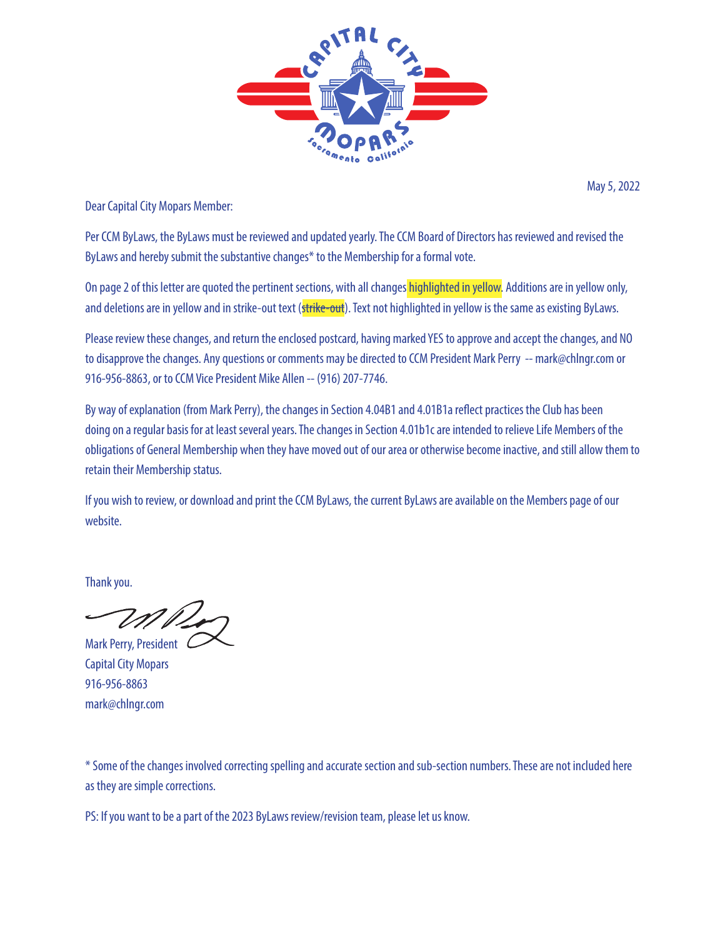

May 5, 2022

Dear Capital City Mopars Member:

Per CCM ByLaws, the ByLaws must be reviewed and updated yearly. The CCM Board of Directors has reviewed and revised the ByLaws and hereby submit the substantive changes\* to the Membership for a formal vote.

On page 2 of this letter are quoted the pertinent sections, with all changes highlighted in yellow. Additions are in yellow only, and deletions are in yellow and in strike-out text (strike-out). Text not highlighted in yellow is the same as existing ByLaws.

Please review these changes, and return the enclosed postcard, having marked YES to approve and accept the changes, and NO to disapprove the changes. Any questions or comments may be directed to CCM President Mark Perry -- mark@chlngr.com or 916-956-8863, or to CCM Vice President Mike Allen -- (916) 207-7746.

By way of explanation (from Mark Perry), the changes in Section 4.04B1 and 4.01B1a reflect practices the Club has been doing on a regular basis for at least several years. The changes in Section 4.01b1c are intended to relieve Life Members of the obligations of General Membership when they have moved out of our area or otherwise become inactive, and still allow them to retain their Membership status.

If you wish to review, or download and print the CCM ByLaws, the current ByLaws are available on the Members page of our website.

Thank you.

Mark Perry, President C

Capital City Mopars 916-956-8863 mark@chlngr.com

\* Some of the changes involved correcting spelling and accurate section and sub-section numbers. These are not included here as they are simple corrections.

PS: If you want to be a part of the 2023 ByLaws review/revision team, please let us know.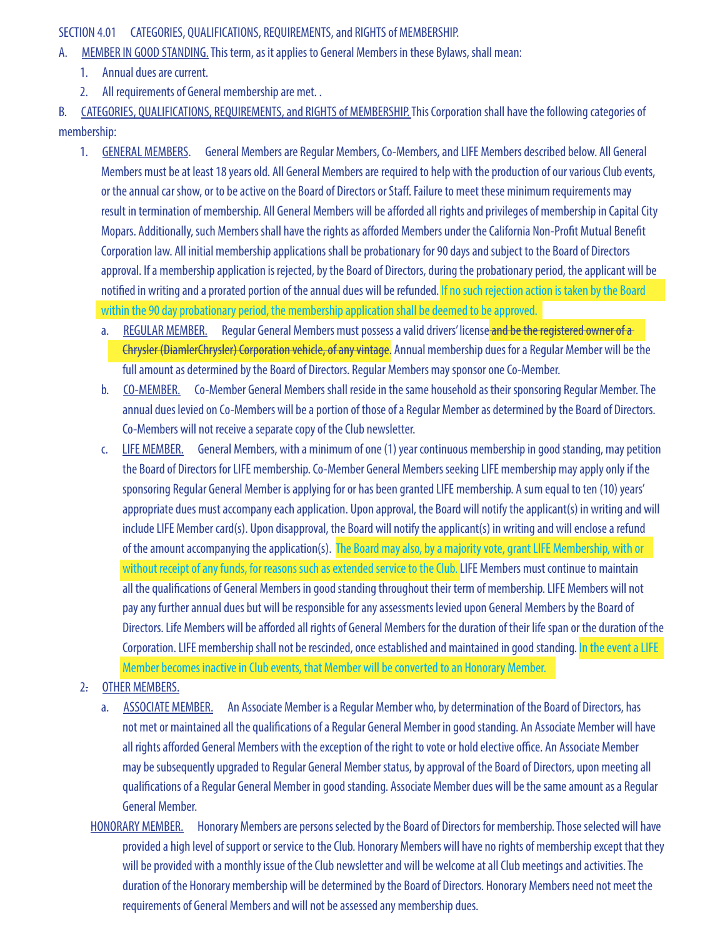## SECTION 4.01 CATEGORIES, QUALIFICATIONS, REQUIREMENTS, and RIGHTS of MEMBERSHIP.

- A. MEMBER IN GOOD STANDING. This term, as it applies to General Members in these Bylaws, shall mean:
	- 1. Annual dues are current.
	- 2. All requirements of General membership are met. .

B. CATEGORIES, QUALIFICATIONS, REQUIREMENTS, and RIGHTS of MEMBERSHIP. This Corporation shall have the following categories of membership:

- 1. GENERAL MEMBERS. General Members are Regular Members, Co-Members, and LIFE Members described below. All General Members must be at least 18 years old. All General Members are required to help with the production of our various Club events, or the annual car show, or to be active on the Board of Directors or Staff. Failure to meet these minimum requirements may result in termination of membership. All General Members will be afforded all rights and privileges of membership in Capital City Mopars. Additionally, such Members shall have the rights as afforded Members under the California Non-Profit Mutual Benefit Corporation law. All initial membership applications shall be probationary for 90 days and subject to the Board of Directors approval. If a membership application is rejected, by the Board of Directors, during the probationary period, the applicant will be notified in writing and a prorated portion of the annual dues will be refunded. If no such rejection action is taken by the Board within the 90 day probationary period, the membership application shall be deemed to be approved.
	- a. REGULAR MEMBER. Regular General Members must possess a valid drivers' license and be the registered owner of a Chrysler (DiamlerChrysler) Corporation vehicle, of any vintage. Annual membership dues for a Regular Member will be the full amount as determined by the Board of Directors. Regular Members may sponsor one Co-Member.
	- b. CO-MEMBER. Co-Member General Members shall reside in the same household as their sponsoring Regular Member. The annual dues levied on Co-Members will be a portion of those of a Regular Member as determined by the Board of Directors. Co-Members will not receive a separate copy of the Club newsletter.
	- c. LIFE MEMBER. General Members, with a minimum of one (1) year continuous membership in good standing, may petition the Board of Directors for LIFE membership. Co-Member General Members seeking LIFE membership may apply only if the sponsoring Regular General Member is applying for or has been granted LIFE membership. A sum equal to ten (10) years' appropriate dues must accompany each application. Upon approval, the Board will notify the applicant(s) in writing and will include LIFE Member card(s). Upon disapproval, the Board will notify the applicant(s) in writing and will enclose a refund of the amount accompanying the application(s). The Board may also, by a majority vote, grant LIFE Membership, with or without receipt of any funds, for reasons such as extended service to the Club. LIFE Members must continue to maintain all the qualifications of General Members in good standing throughout their term of membership. LIFE Members will not pay any further annual dues but will be responsible for any assessments levied upon General Members by the Board of Directors. Life Members will be afforded all rights of General Members for the duration of their life span or the duration of the Corporation. LIFE membership shall not be rescinded, once established and maintained in good standing. In the event a LIFE Member becomes inactive in Club events, that Member will be converted to an Honorary Member.
- 2. OTHER MEMBERS.
	- a. ASSOCIATE MEMBER. An Associate Member is a Regular Member who, by determination of the Board of Directors, has not met or maintained all the qualifications of a Regular General Member in good standing. An Associate Member will have all rights afforded General Members with the exception of the right to vote or hold elective office. An Associate Member may be subsequently upgraded to Regular General Member status, by approval of the Board of Directors, upon meeting all qualifications of a Regular General Member in good standing. Associate Member dues will be the same amount as a Regular General Member.
	- HONORARY MEMBER. Honorary Members are persons selected by the Board of Directors for membership. Those selected will have provided a high level of support or service to the Club. Honorary Members will have no rights of membership except that they will be provided with a monthly issue of the Club newsletter and will be welcome at all Club meetings and activities. The duration of the Honorary membership will be determined by the Board of Directors. Honorary Members need not meet the requirements of General Members and will not be assessed any membership dues.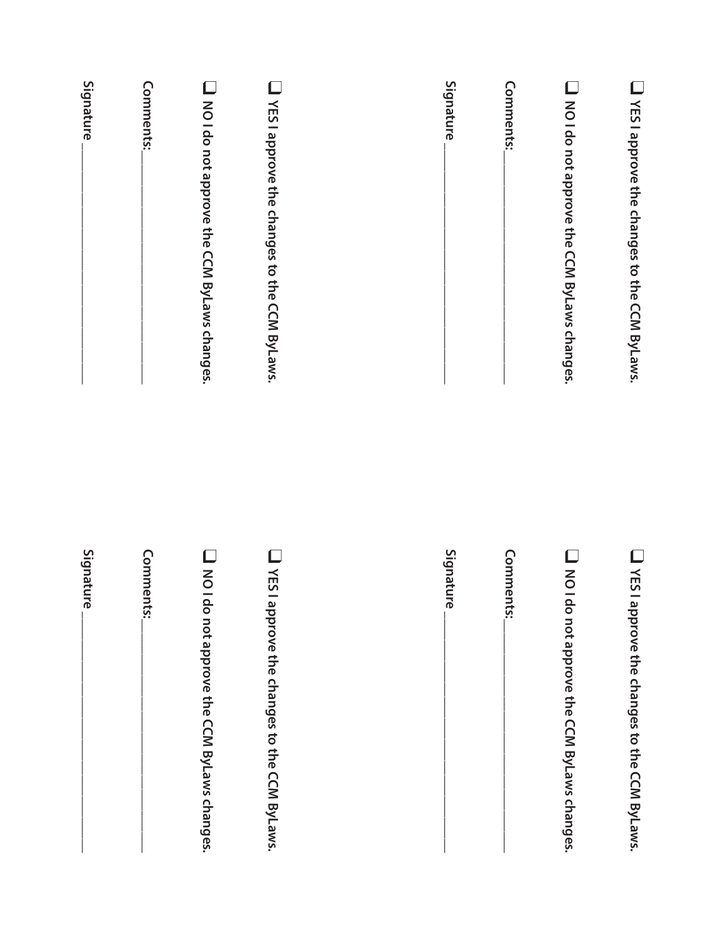| Signature | Comments: | Moldo not approve the CCM ByLaws changes. | T YES I approve the changes to the CCM ByLaws. | Signature | Comments: | Moldo not approve the CCM ByLaws changes. | T YES I approve the changes to the CCM ByLaws. |
|-----------|-----------|-------------------------------------------|------------------------------------------------|-----------|-----------|-------------------------------------------|------------------------------------------------|
| Signature | Comments: | Moldo not approve the CCM ByLaws changes. | T YES I approve the changes to the CCM ByLaws. | Signature | Comments: | Moldo not approve the CCM ByLaws changes. | T YES I approve the changes to the CCM ByLaws. |